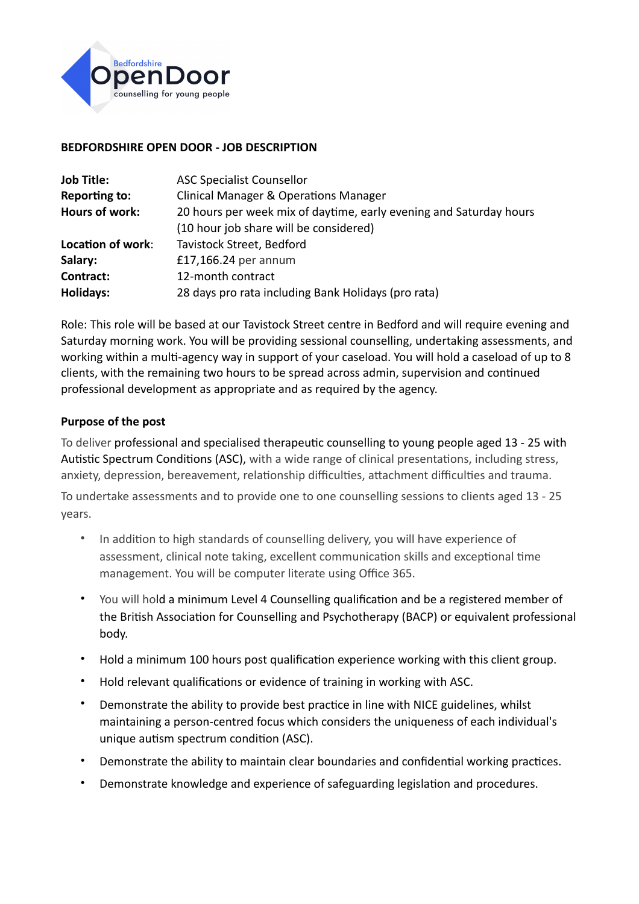

## **BEDFORDSHIRE OPEN DOOR - JOB DESCRIPTION**

| <b>Job Title:</b>     | <b>ASC Specialist Counsellor</b>                                   |
|-----------------------|--------------------------------------------------------------------|
| Reporting to:         | <b>Clinical Manager &amp; Operations Manager</b>                   |
| <b>Hours of work:</b> | 20 hours per week mix of daytime, early evening and Saturday hours |
|                       | (10 hour job share will be considered)                             |
| Location of work:     | Tavistock Street, Bedford                                          |
| Salary:               | £17,166.24 per annum                                               |
| Contract:             | 12-month contract                                                  |
| Holidays:             | 28 days pro rata including Bank Holidays (pro rata)                |

Role: This role will be based at our Tavistock Street centre in Bedford and will require evening and Saturday morning work. You will be providing sessional counselling, undertaking assessments, and working within a multi-agency way in support of your caseload. You will hold a caseload of up to 8 clients, with the remaining two hours to be spread across admin, supervision and continued professional development as appropriate and as required by the agency.

## **Purpose of the post**

To deliver professional and specialised therapeutic counselling to young people aged 13 - 25 with Autistic Spectrum Conditions (ASC), with a wide range of clinical presentations, including stress, anxiety, depression, bereavement, relationship difficulties, attachment difficulties and trauma.

To undertake assessments and to provide one to one counselling sessions to clients aged 13 - 25 years.

- In addition to high standards of counselling delivery, you will have experience of assessment, clinical note taking, excellent communication skills and exceptional time management. You will be computer literate using Office 365.
- You will hold a minimum Level 4 Counselling qualification and be a registered member of the British Association for Counselling and Psychotherapy (BACP) or equivalent professional body.
- Hold a minimum 100 hours post qualification experience working with this client group.
- Hold relevant qualifications or evidence of training in working with ASC.
- Demonstrate the ability to provide best practice in line with NICE guidelines, whilst maintaining a person-centred focus which considers the uniqueness of each individual's unique autism spectrum condition (ASC).
- Demonstrate the ability to maintain clear boundaries and confidential working practices.
- Demonstrate knowledge and experience of safeguarding legislation and procedures.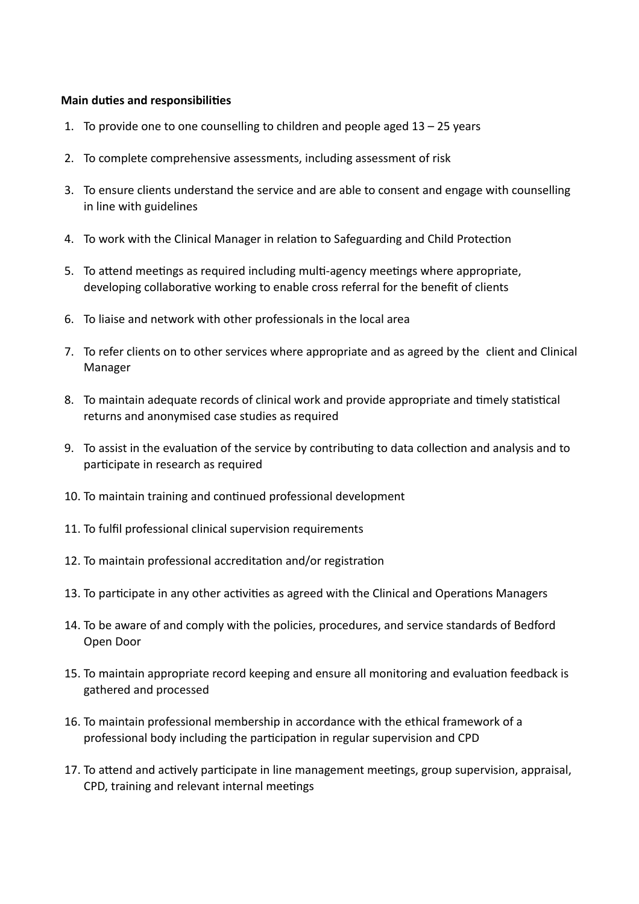## **Main duties and responsibilities**

- 1. To provide one to one counselling to children and people aged  $13 25$  years
- 2. To complete comprehensive assessments, including assessment of risk
- 3. To ensure clients understand the service and are able to consent and engage with counselling in line with guidelines
- 4. To work with the Clinical Manager in relation to Safeguarding and Child Protection
- 5. To attend meetings as required including multi-agency meetings where appropriate, developing collaborative working to enable cross referral for the benefit of clients
- 6. To liaise and network with other professionals in the local area
- 7. To refer clients on to other services where appropriate and as agreed by the client and Clinical Manager
- 8. To maintain adequate records of clinical work and provide appropriate and timely statistical returns and anonymised case studies as required
- 9. To assist in the evaluation of the service by contributing to data collection and analysis and to participate in research as required
- 10. To maintain training and continued professional development
- 11. To fulfil professional clinical supervision requirements
- 12. To maintain professional accreditation and/or registration
- 13. To participate in any other activities as agreed with the Clinical and Operations Managers
- 14. To be aware of and comply with the policies, procedures, and service standards of Bedford Open Door
- 15. To maintain appropriate record keeping and ensure all monitoring and evaluation feedback is gathered and processed
- 16. To maintain professional membership in accordance with the ethical framework of a professional body including the participation in regular supervision and CPD
- 17. To attend and actively participate in line management meetings, group supervision, appraisal, CPD, training and relevant internal meetings